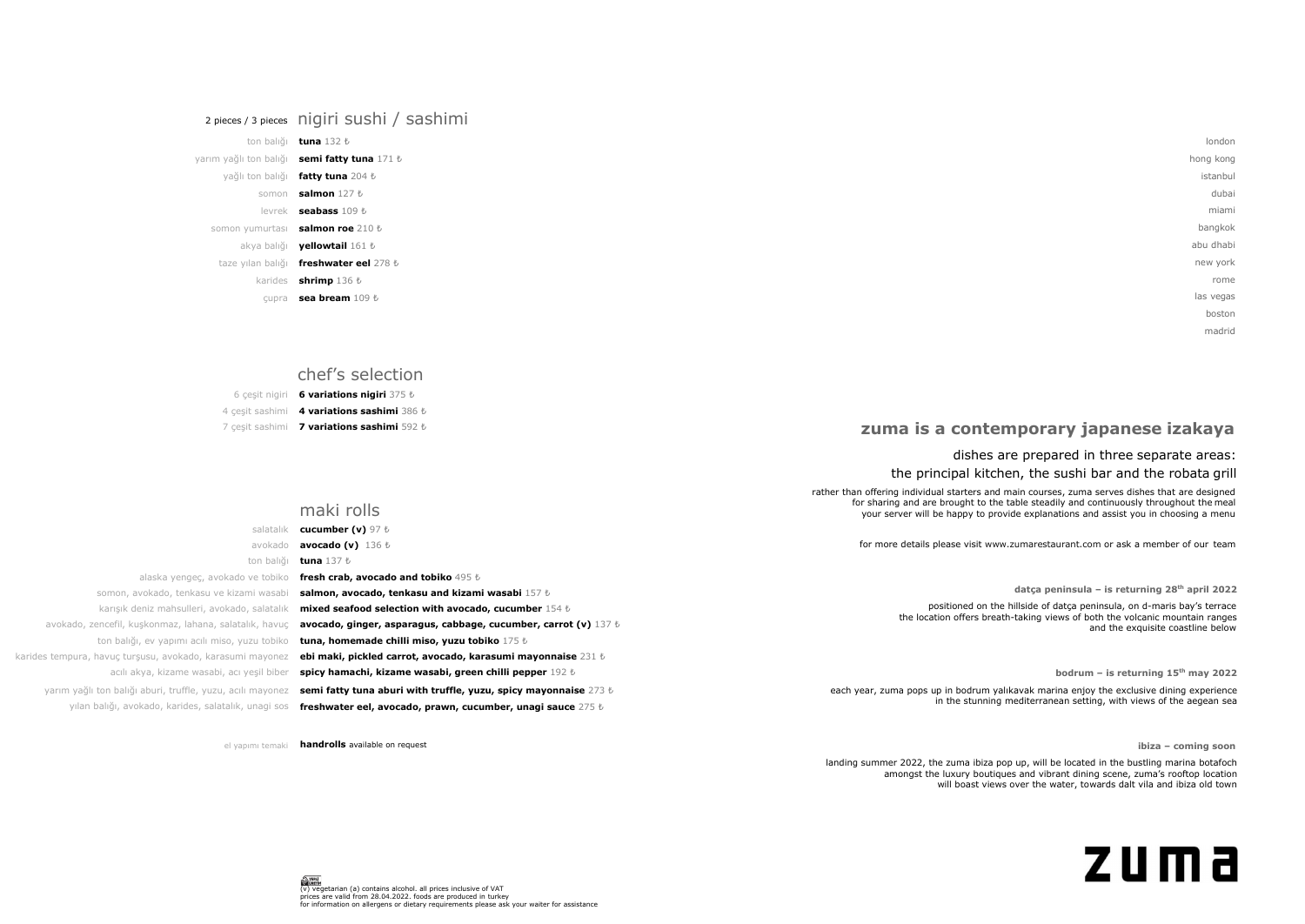london hong kong istanbul dubai miami bangkok abu dhabi new york rome las vegas boston madrid

## **zuma is a contemporary japanese izakaya**

### dishes are prepared in three separate areas: the principal kitchen, the sushi bar and the robata grill

rather than offering individual starters and main courses, zuma serves dishes that are designed for sharing and are brought to the table steadily and continuously throughout the meal your server will be happy to provide explanations and assist you in choosing a menu

landing summer 2022, the zuma ibiza pop up, will be located in the bustling marina botafoch amongst the luxury boutiques and vibrant dining scene, zuma's rooftop location will boast views over the water, towards dalt vila and ibiza old town

**ibiza – coming soon**



| your server will be happy to provide explainations and assist you in choosing a mena                              |                                                                           |                                                        |
|-------------------------------------------------------------------------------------------------------------------|---------------------------------------------------------------------------|--------------------------------------------------------|
|                                                                                                                   | cucumber (v) $97\;t$                                                      | salatalıl                                              |
| for more details please visit www.zumarestaurant.com or ask a member of our team                                  | <b>avocado (v)</b> $136 \text{ } t$                                       | avokado                                                |
|                                                                                                                   | tuna 137 ₺                                                                | ton balığı                                             |
|                                                                                                                   | fresh crab, avocado and tobiko 495 $t_0$                                  | alaska yengec, avokado ve tobiko                       |
| datça peninsula - is returning $28th$ april 2022                                                                  | salmon, avocado, tenkasu and kizami wasabi 157 $\ell$                     | somon, avokado, tenkasu ve kizami wasabi               |
| positioned on the hillside of datca peninsula, on d-maris bay's terrace                                           | mixed seafood selection with avocado, cucumber 154 $t$                    | karışık deniz mahsulleri, avokado, salatalık           |
| the location offers breath-taking views of both the volcanic mountain ranges<br>and the exquisite coastline below | avocado, ginger, asparagus, cabbage, cucumber, carrot (v) $137 b$         | ado, zencefil, kuşkonmaz, lahana, salatalık, havuç     |
|                                                                                                                   | tuna, homemade chilli miso, yuzu tobiko 175 $t$                           | ton balığı, ev yapımı açılı miso, yuzu tobiko          |
|                                                                                                                   | ebi maki, pickled carrot, avocado, karasumi mayonnaise 231 $t$            | ipura, havuç turşusu, avokado, karasumi mayonez        |
| bodrum - is returning $15th$ may 2022                                                                             | spicy hamachi, kizame wasabi, green chilli pepper $192\;$ <i>t</i>        | acılı akya, kizame wasabi, acı yeşil biber             |
| each year, zuma pops up in bodrum yalıkavak marina enjoy the exclusive dining experience                          | semi fatty tuna aburi with truffle, yuzu, spicy mayonnaise $273~\text{t}$ | n yağlı ton balığı aburi, truffle, yuzu, acılı mayonez |
| in the stunning mediterranean setting, with views of the aegean sea                                               | freshwater eel, avocado, prawn, cucumber, unagi sauce $275\;$ <i>t</i>    | yılan balığı, avokado, karides, salatalık, unagi sos   |

alaska yengeç, avokado ve to somon, avokado, tenkasu ve kizami w karışık deniz mahsulleri, avokado, sala avokado, zencefil, kuşkonmaz, lahana, salatalık, h ton balığı, ev yapımı acılı miso, yuzu to karides tempura, havuç turşusu, avokado, karasumi may acılı akya, kizame wasabi, acı yeşil yarım yağlı ton balığı aburi, truffle, yuzu, acılı may maki rolls

el yapımı temaki **handrolls** available on request

## 2 pieces / 3 pieces nigiri sushi / sashimi

ton balığı **tuna** 132 ₺

## yarım yağlı ton balığı **semi fatty tuna** 171 ₺ yağlı ton balığı **fatty tuna** 204 ₺ somon **salmon** 127 ₺ levrek **seabass** 109 ₺ somon yumurtası **salmon roe** 210 ₺ akya balığı **yellowtail** 161 ₺ taze yılan balığı **freshwater eel** 278 ₺ karides **shrimp** 136 ₺

çupra **sea bream** 109 ₺

## chef's selection

6 çeşit nigiri **6 variations nigiri** 375 ₺

4 çeşit sashimi **4 variations sashimi** 386 ₺ 7 çeşit sashimi **7 variations sashimi** 592 ₺